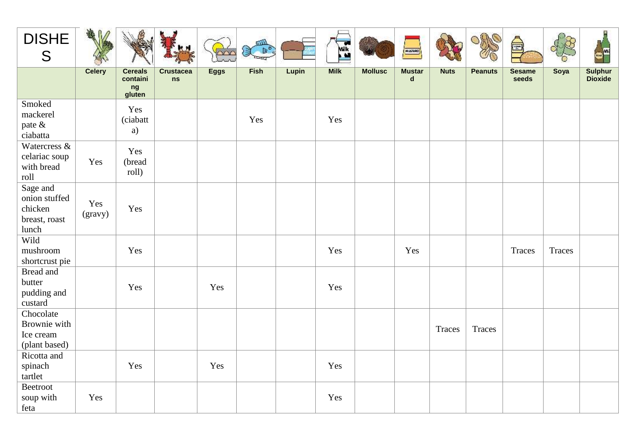| <b>DISHE</b><br>S                                              |                |                                            |                               |             | $x^*$ |       | <b>Milk</b> |                | <b>NIEVAD</b>                |             |                | $\bigoplus$            |        |                                  |
|----------------------------------------------------------------|----------------|--------------------------------------------|-------------------------------|-------------|-------|-------|-------------|----------------|------------------------------|-------------|----------------|------------------------|--------|----------------------------------|
|                                                                | <b>Celery</b>  | <b>Cereals</b><br>containi<br>ng<br>gluten | <b>Crustacea</b><br><b>ns</b> | <b>Eggs</b> | Fish  | Lupin | <b>Milk</b> | <b>Mollusc</b> | <b>Mustar</b><br>$\mathbf d$ | <b>Nuts</b> | <b>Peanuts</b> | <b>Sesame</b><br>seeds | Soya   | <b>Sulphur</b><br><b>Dioxide</b> |
| Smoked<br>mackerel<br>pate &<br>ciabatta                       |                | Yes<br>(ciabatt<br>a)                      |                               |             | Yes   |       | Yes         |                |                              |             |                |                        |        |                                  |
| Watercress &<br>celariac soup<br>with bread<br>roll            | Yes            | Yes<br>(bread<br>roll)                     |                               |             |       |       |             |                |                              |             |                |                        |        |                                  |
| Sage and<br>onion stuffed<br>chicken<br>breast, roast<br>lunch | Yes<br>(gravy) | Yes                                        |                               |             |       |       |             |                |                              |             |                |                        |        |                                  |
| Wild<br>mushroom<br>shortcrust pie                             |                | Yes                                        |                               |             |       |       | Yes         |                | Yes                          |             |                | Traces                 | Traces |                                  |
| Bread and<br>butter<br>pudding and<br>custard                  |                | Yes                                        |                               | Yes         |       |       | Yes         |                |                              |             |                |                        |        |                                  |
| Chocolate<br>Brownie with<br>Ice cream<br>(plant based)        |                |                                            |                               |             |       |       |             |                |                              | Traces      | Traces         |                        |        |                                  |
| Ricotta and<br>spinach<br>tartlet                              |                | Yes                                        |                               | Yes         |       |       | Yes         |                |                              |             |                |                        |        |                                  |
| <b>Beetroot</b><br>soup with<br>feta                           | Yes            |                                            |                               |             |       |       | Yes         |                |                              |             |                |                        |        |                                  |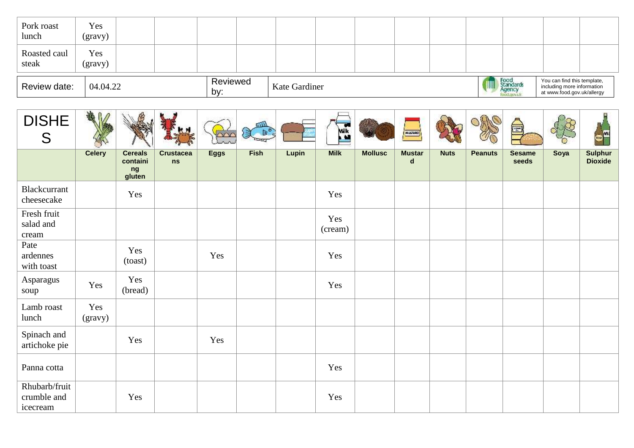| Pork roast<br>lunch   | Yes<br>(gravy) |  |                 |               |  |  |                            |                                                                                         |  |
|-----------------------|----------------|--|-----------------|---------------|--|--|----------------------------|-----------------------------------------------------------------------------------------|--|
| Roasted caul<br>steak | Yes<br>(gravy) |  |                 |               |  |  |                            |                                                                                         |  |
| Review date:          | 04.04.22       |  | Reviewed<br>by: | Kate Gardiner |  |  | Food<br>Standard<br>Agency | You can find this template,<br>including more information<br>at www.food.gov.uk/allergy |  |

| <b>DISHE</b><br>S                        |                |                                            |                        |             | $\overline{\omega}$<br>₹ |              | <b>Milk</b>    |                | <b>NISVAD</b>                |             |                | T                      |      |                                  |
|------------------------------------------|----------------|--------------------------------------------|------------------------|-------------|--------------------------|--------------|----------------|----------------|------------------------------|-------------|----------------|------------------------|------|----------------------------------|
|                                          | <b>Celery</b>  | <b>Cereals</b><br>containi<br>ng<br>gluten | <b>Crustacea</b><br>ns | <b>Eggs</b> | Fish                     | <b>Lupin</b> | <b>Milk</b>    | <b>Mollusc</b> | <b>Mustar</b><br>$\mathbf d$ | <b>Nuts</b> | <b>Peanuts</b> | <b>Sesame</b><br>seeds | Soya | <b>Sulphur</b><br><b>Dioxide</b> |
| Blackcurrant<br>cheesecake               |                | Yes                                        |                        |             |                          |              | Yes            |                |                              |             |                |                        |      |                                  |
| Fresh fruit<br>salad and<br>cream        |                |                                            |                        |             |                          |              | Yes<br>(cream) |                |                              |             |                |                        |      |                                  |
| Pate<br>ardennes<br>with toast           |                | Yes<br>(toast)                             |                        | Yes         |                          |              | Yes            |                |                              |             |                |                        |      |                                  |
| Asparagus<br>soup                        | Yes            | Yes<br>(bread)                             |                        |             |                          |              | Yes            |                |                              |             |                |                        |      |                                  |
| Lamb roast<br>lunch                      | Yes<br>(gravy) |                                            |                        |             |                          |              |                |                |                              |             |                |                        |      |                                  |
| Spinach and<br>artichoke pie             |                | Yes                                        |                        | Yes         |                          |              |                |                |                              |             |                |                        |      |                                  |
| Panna cotta                              |                |                                            |                        |             |                          |              | Yes            |                |                              |             |                |                        |      |                                  |
| Rhubarb/fruit<br>crumble and<br>icecream |                | Yes                                        |                        |             |                          |              | Yes            |                |                              |             |                |                        |      |                                  |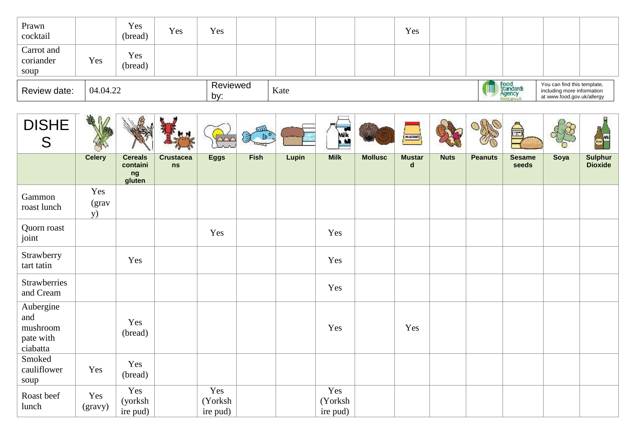| Prawn<br>cocktail               |          | Yes<br>(bread) | Yes | Yes             |      |  | Yes |  |                                          |                                                                                         |  |
|---------------------------------|----------|----------------|-----|-----------------|------|--|-----|--|------------------------------------------|-----------------------------------------------------------------------------------------|--|
| Carrot and<br>coriander<br>soup | Yes      | Yes<br>(bread) |     |                 |      |  |     |  |                                          |                                                                                         |  |
| Review date:                    | 04.04.22 |                |     | Reviewed<br>by: | Kate |  |     |  | Food<br>Standard<br>Agency<br>food.goodk | You can find this template,<br>including more information<br>at www.food.gov.uk/allergy |  |

| <b>DISHE</b><br>S                                     |                            |                                            |                        |                            | úШ<br>$\triangleright$<br>ぼ |       | <b>Milk</b>                |                | <b>NISVAD</b>                |             |                | $\bigoplus$            |      | <b>Sample</b>                    |
|-------------------------------------------------------|----------------------------|--------------------------------------------|------------------------|----------------------------|-----------------------------|-------|----------------------------|----------------|------------------------------|-------------|----------------|------------------------|------|----------------------------------|
|                                                       | <b>Celery</b>              | <b>Cereals</b><br>containi<br>ng<br>gluten | <b>Crustacea</b><br>ns | <b>Eggs</b>                | Fish                        | Lupin | <b>Milk</b>                | <b>Mollusc</b> | <b>Mustar</b><br>$\mathbf d$ | <b>Nuts</b> | <b>Peanuts</b> | <b>Sesame</b><br>seeds | Soya | <b>Sulphur</b><br><b>Dioxide</b> |
| Gammon<br>roast lunch                                 | Yes<br>(grav<br><b>y</b> ) |                                            |                        |                            |                             |       |                            |                |                              |             |                |                        |      |                                  |
| Quorn roast<br>joint                                  |                            |                                            |                        | Yes                        |                             |       | Yes                        |                |                              |             |                |                        |      |                                  |
| Strawberry<br>tart tatin                              |                            | Yes                                        |                        |                            |                             |       | Yes                        |                |                              |             |                |                        |      |                                  |
| Strawberries<br>and Cream                             |                            |                                            |                        |                            |                             |       | Yes                        |                |                              |             |                |                        |      |                                  |
| Aubergine<br>and<br>mushroom<br>pate with<br>ciabatta |                            | Yes<br>(bread)                             |                        |                            |                             |       | Yes                        |                | Yes                          |             |                |                        |      |                                  |
| Smoked<br>cauliflower<br>soup                         | Yes                        | Yes<br>(bread)                             |                        |                            |                             |       |                            |                |                              |             |                |                        |      |                                  |
| Roast beef<br>lunch                                   | Yes<br>(gravy)             | Yes<br>(yorksh)<br>ire pud)                |                        | Yes<br>(Yorksh<br>ire pud) |                             |       | Yes<br>(Yorksh<br>ire pud) |                |                              |             |                |                        |      |                                  |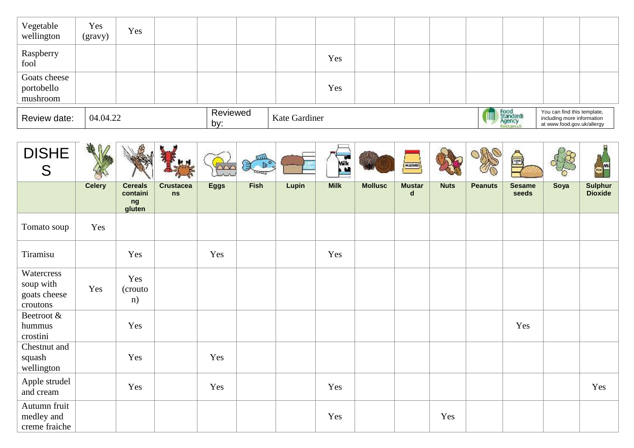| Vegetable<br>wellington                | Yes<br>(gravy) | Yes |                 |               |     |  |  |                             |                                                                                         |  |
|----------------------------------------|----------------|-----|-----------------|---------------|-----|--|--|-----------------------------|-----------------------------------------------------------------------------------------|--|
| Raspberry<br>fool                      |                |     |                 |               | Yes |  |  |                             |                                                                                         |  |
| Goats cheese<br>portobello<br>mushroom |                |     |                 |               | Yes |  |  |                             |                                                                                         |  |
| Review date:                           | 04.04.22       |     | Reviewed<br>by: | Kate Gardiner |     |  |  | Food<br>Standards<br>Agency | You can find this template,<br>including more information<br>at www.food.gov.uk/allergy |  |

| <b>DISHE</b><br>S                                   |               |                                            |                        |             | úШ<br>貞. |              | Milk<br>$\bullet$ |                | <b>NIEVAD</b>                |             |                | $\frac{1}{\sqrt{2}}$   |      | $\sim$                           |
|-----------------------------------------------------|---------------|--------------------------------------------|------------------------|-------------|----------|--------------|-------------------|----------------|------------------------------|-------------|----------------|------------------------|------|----------------------------------|
|                                                     | <b>Celery</b> | <b>Cereals</b><br>containi<br>ng<br>gluten | <b>Crustacea</b><br>ns | <b>Eggs</b> | Fish     | <b>Lupin</b> | <b>Milk</b>       | <b>Mollusc</b> | <b>Mustar</b><br>$\mathbf d$ | <b>Nuts</b> | <b>Peanuts</b> | <b>Sesame</b><br>seeds | Soya | <b>Sulphur</b><br><b>Dioxide</b> |
| Tomato soup                                         | Yes           |                                            |                        |             |          |              |                   |                |                              |             |                |                        |      |                                  |
| Tiramisu                                            |               | Yes                                        |                        | Yes         |          |              | Yes               |                |                              |             |                |                        |      |                                  |
| Watercress<br>soup with<br>goats cheese<br>croutons | Yes           | Yes<br>(crouto)<br>n)                      |                        |             |          |              |                   |                |                              |             |                |                        |      |                                  |
| Beetroot &<br>hummus<br>crostini                    |               | Yes                                        |                        |             |          |              |                   |                |                              |             |                | Yes                    |      |                                  |
| Chestnut and<br>squash<br>wellington                |               | Yes                                        |                        | Yes         |          |              |                   |                |                              |             |                |                        |      |                                  |
| Apple strudel<br>and cream                          |               | Yes                                        |                        | Yes         |          |              | Yes               |                |                              |             |                |                        |      | Yes                              |
| Autumn fruit<br>medley and<br>creme fraiche         |               |                                            |                        |             |          |              | Yes               |                |                              | Yes         |                |                        |      |                                  |